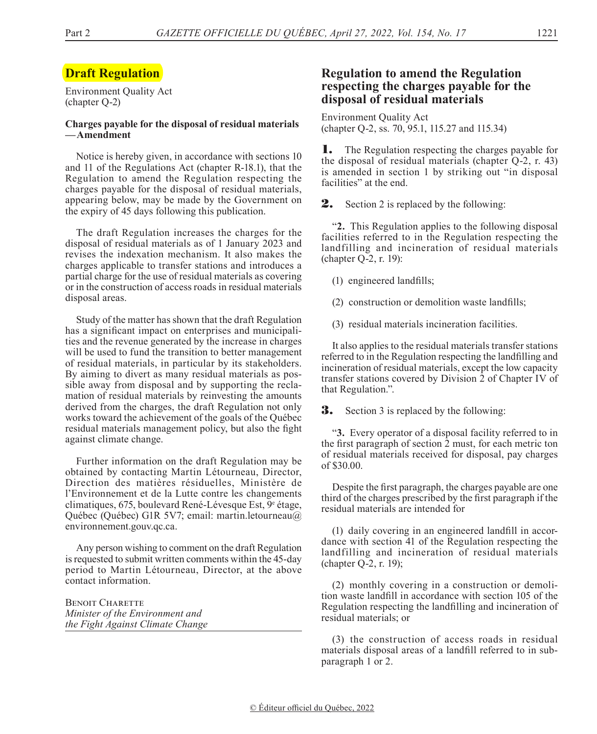# **Draft Regulation**

Environment Quality Act (chapter Q-2)

#### **Charges payable for the disposal of residual materials —Amendment**

Notice is hereby given, in accordance with sections 10 and 11 of the Regulations Act (chapter R-18.1), that the Regulation to amend the Regulation respecting the charges payable for the disposal of residual materials, appearing below, may be made by the Government on the expiry of 45 days following this publication.

The draft Regulation increases the charges for the disposal of residual materials as of 1 January 2023 and revises the indexation mechanism. It also makes the charges applicable to transfer stations and introduces a partial charge for the use of residual materials as covering or in the construction of access roads in residual materials disposal areas.

Study of the matter has shown that the draft Regulation has a significant impact on enterprises and municipalities and the revenue generated by the increase in charges will be used to fund the transition to better management of residual materials, in particular by its stakeholders. By aiming to divert as many residual materials as possible away from disposal and by supporting the reclamation of residual materials by reinvesting the amounts derived from the charges, the draft Regulation not only works toward the achievement of the goals of the Québec residual materials management policy, but also the fight against climate change.

Further information on the draft Regulation may be obtained by contacting Martin Létourneau, Director, Direction des matières résiduelles, Ministère de l'Environnement et de la Lutte contre les changements climatiques, 675, boulevard René-Lévesque Est,  $9^e$  étage, Québec (Québec) G1R 5V7; email: martin.letourneau@ environnement.gouv.qc.ca.

Any person wishing to comment on the draft Regulation is requested to submit written comments within the 45-day period to Martin Létourneau, Director, at the above contact information.

**BENOIT CHARETTE** *Minister of the Environment and the Fight Against Climate Change*

## **Regulation to amend the Regulation respecting the charges payable for the disposal of residual materials**

Environment Quality Act (chapter Q-2, ss. 70, 95.1, 115.27 and 115.34)

**1.** The Regulation respecting the charges payable for the disposal of residual materials (chapter Q-2, r. 43) is amended in section 1 by striking out "in disposal facilities" at the end.

**2.** Section 2 is replaced by the following:

"**2.** This Regulation applies to the following disposal facilities referred to in the Regulation respecting the landfilling and incineration of residual materials (chapter Q-2, r. 19):

(1) engineered landfills;

- (2) construction or demolition waste landfills;
- (3) residual materials incineration facilities.

It also applies to the residual materials transfer stations referred to in the Regulation respecting the landfilling and incineration of residual materials, except the low capacity transfer stations covered by Division 2 of Chapter IV of that Regulation.".

**3.** Section 3 is replaced by the following:

"**3.** Every operator of a disposal facility referred to in the first paragraph of section 2 must, for each metric ton of residual materials received for disposal, pay charges of \$30.00.

Despite the first paragraph, the charges payable are one third of the charges prescribed by the first paragraph if the residual materials are intended for

(1) daily covering in an engineered landfill in accordance with section 41 of the Regulation respecting the landfilling and incineration of residual materials (chapter Q-2, r. 19);

(2) monthly covering in a construction or demolition waste landfill in accordance with section 105 of the Regulation respecting the landfilling and incineration of residual materials; or

(3) the construction of access roads in residual materials disposal areas of a landfill referred to in subparagraph 1 or 2.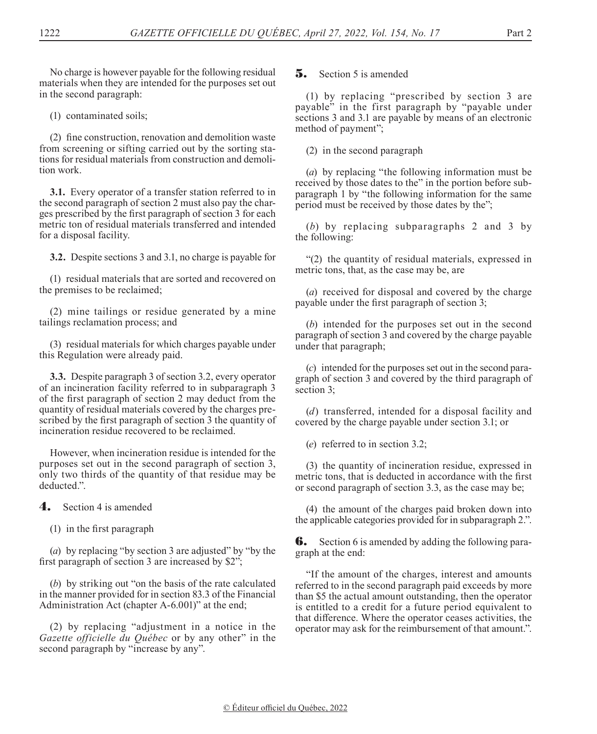No charge is however payable for the following residual materials when they are intended for the purposes set out in the second paragraph:

(1) contaminated soils;

(2) fine construction, renovation and demolition waste from screening or sifting carried out by the sorting stations for residual materials from construction and demolition work.

**3.1.** Every operator of a transfer station referred to in the second paragraph of section 2 must also pay the charges prescribed by the first paragraph of section 3 for each metric ton of residual materials transferred and intended for a disposal facility.

**3.2.** Despite sections 3 and 3.1, no charge is payable for

(1) residual materials that are sorted and recovered on the premises to be reclaimed;

(2) mine tailings or residue generated by a mine tailings reclamation process; and

(3) residual materials for which charges payable under this Regulation were already paid.

**3.3.** Despite paragraph 3 of section 3.2, every operator of an incineration facility referred to in subparagraph 3 of the first paragraph of section 2 may deduct from the quantity of residual materials covered by the charges prescribed by the first paragraph of section 3 the quantity of incineration residue recovered to be reclaimed.

However, when incineration residue is intended for the purposes set out in the second paragraph of section 3, only two thirds of the quantity of that residue may be deducted.".

4. Section 4 is amended

(1) in the first paragraph

(*a*) by replacing "by section 3 are adjusted" by "by the first paragraph of section 3 are increased by \$2";

(*b*) by striking out "on the basis of the rate calculated in the manner provided for in section 83.3 of the Financial Administration Act (chapter A-6.001)" at the end;

(2) by replacing "adjustment in a notice in the *Gazette officielle du Québec* or by any other" in the second paragraph by "increase by any".

**5.** Section 5 is amended

(1) by replacing "prescribed by section 3 are payable" in the first paragraph by "payable under sections 3 and 3.1 are payable by means of an electronic method of payment";

(2) in the second paragraph

(*a*) by replacing "the following information must be received by those dates to the" in the portion before subparagraph 1 by "the following information for the same period must be received by those dates by the";

(*b*) by replacing subparagraphs 2 and 3 by the following:

"(2) the quantity of residual materials, expressed in metric tons, that, as the case may be, are

(*a*) received for disposal and covered by the charge payable under the first paragraph of section 3;

(*b*) intended for the purposes set out in the second paragraph of section 3 and covered by the charge payable under that paragraph;

(*c*) intended for the purposes set out in the second paragraph of section 3 and covered by the third paragraph of section 3;

(*d*) transferred, intended for a disposal facility and covered by the charge payable under section 3.1; or

(*e*) referred to in section 3.2;

(3) the quantity of incineration residue, expressed in metric tons, that is deducted in accordance with the first or second paragraph of section 3.3, as the case may be;

(4) the amount of the charges paid broken down into the applicable categories provided for in subparagraph 2.".

**6.** Section 6 is amended by adding the following paragraph at the end:

"If the amount of the charges, interest and amounts referred to in the second paragraph paid exceeds by more than \$5 the actual amount outstanding, then the operator is entitled to a credit for a future period equivalent to that difference. Where the operator ceases activities, the operator may ask for the reimbursement of that amount.".